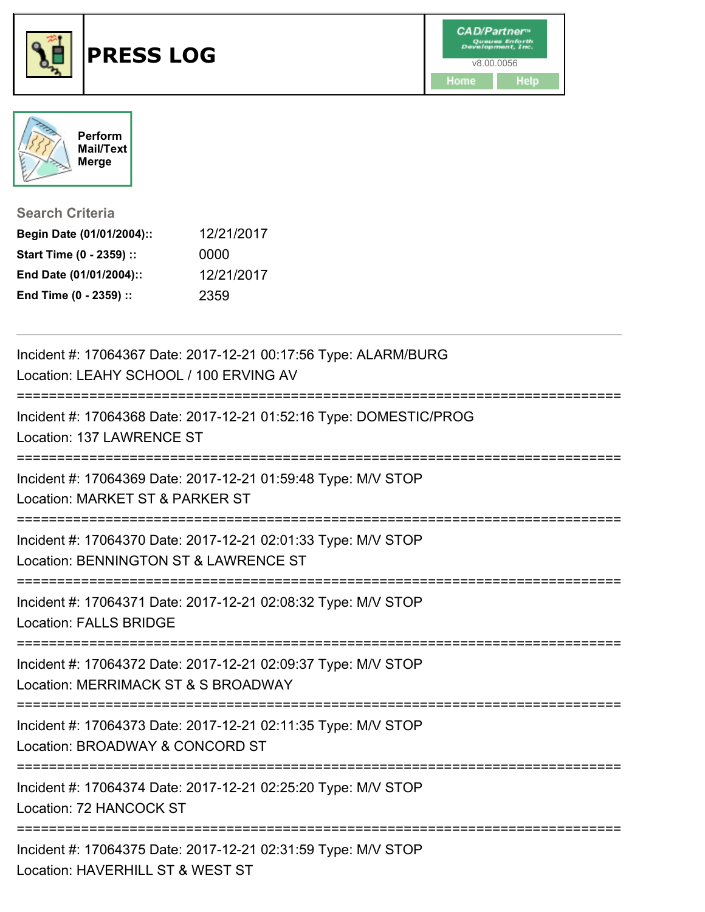



**Search Criteria**

| Begin Date (01/01/2004):: | 12/21/2017 |
|---------------------------|------------|
| Start Time (0 - 2359) ::  | 0000       |
| End Date (01/01/2004)::   | 12/21/2017 |
| End Time (0 - 2359) ::    | 2359       |

| Incident #: 17064367 Date: 2017-12-21 00:17:56 Type: ALARM/BURG<br>Location: LEAHY SCHOOL / 100 ERVING AV |
|-----------------------------------------------------------------------------------------------------------|
| Incident #: 17064368 Date: 2017-12-21 01:52:16 Type: DOMESTIC/PROG<br>Location: 137 LAWRENCE ST           |
| Incident #: 17064369 Date: 2017-12-21 01:59:48 Type: M/V STOP<br>Location: MARKET ST & PARKER ST          |
| Incident #: 17064370 Date: 2017-12-21 02:01:33 Type: M/V STOP<br>Location: BENNINGTON ST & LAWRENCE ST    |
| Incident #: 17064371 Date: 2017-12-21 02:08:32 Type: M/V STOP<br><b>Location: FALLS BRIDGE</b>            |
| Incident #: 17064372 Date: 2017-12-21 02:09:37 Type: M/V STOP<br>Location: MERRIMACK ST & S BROADWAY      |
| Incident #: 17064373 Date: 2017-12-21 02:11:35 Type: M/V STOP<br>Location: BROADWAY & CONCORD ST          |
| Incident #: 17064374 Date: 2017-12-21 02:25:20 Type: M/V STOP<br>Location: 72 HANCOCK ST                  |
| Incident #: 17064375 Date: 2017-12-21 02:31:59 Type: M/V STOP<br>Location: HAVERHILL ST & WEST ST         |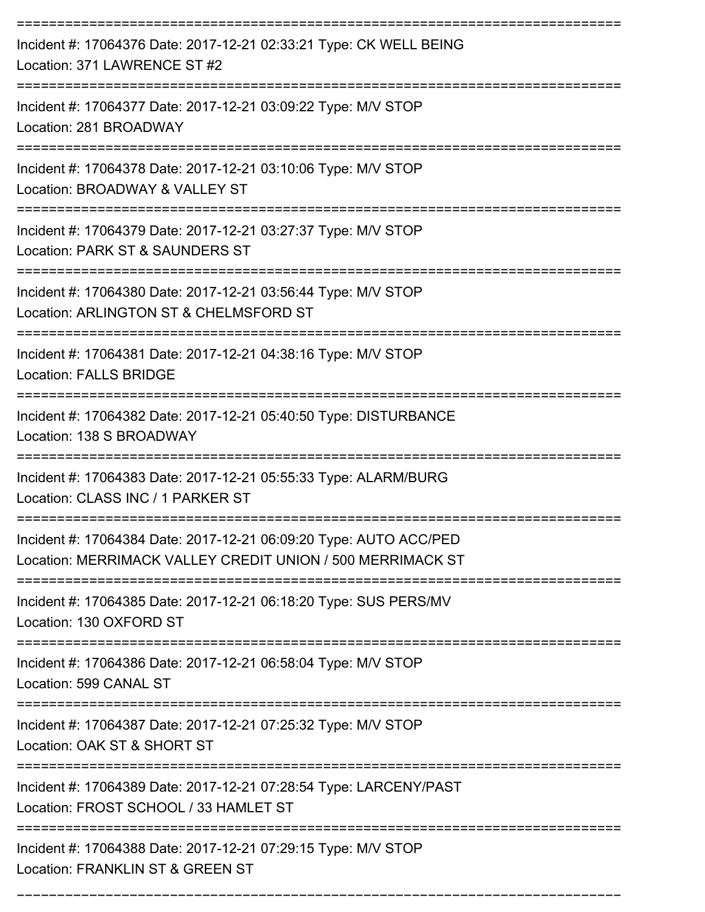| Incident #: 17064376 Date: 2017-12-21 02:33:21 Type: CK WELL BEING<br>Location: 371 LAWRENCE ST #2                              |
|---------------------------------------------------------------------------------------------------------------------------------|
| Incident #: 17064377 Date: 2017-12-21 03:09:22 Type: M/V STOP<br>Location: 281 BROADWAY                                         |
| Incident #: 17064378 Date: 2017-12-21 03:10:06 Type: M/V STOP<br>Location: BROADWAY & VALLEY ST                                 |
| Incident #: 17064379 Date: 2017-12-21 03:27:37 Type: M/V STOP<br>Location: PARK ST & SAUNDERS ST                                |
| Incident #: 17064380 Date: 2017-12-21 03:56:44 Type: M/V STOP<br>Location: ARLINGTON ST & CHELMSFORD ST                         |
| Incident #: 17064381 Date: 2017-12-21 04:38:16 Type: M/V STOP<br><b>Location: FALLS BRIDGE</b>                                  |
| Incident #: 17064382 Date: 2017-12-21 05:40:50 Type: DISTURBANCE<br>Location: 138 S BROADWAY                                    |
| Incident #: 17064383 Date: 2017-12-21 05:55:33 Type: ALARM/BURG<br>Location: CLASS INC / 1 PARKER ST                            |
| Incident #: 17064384 Date: 2017-12-21 06:09:20 Type: AUTO ACC/PED<br>Location: MERRIMACK VALLEY CREDIT UNION / 500 MERRIMACK ST |
| Incident #: 17064385 Date: 2017-12-21 06:18:20 Type: SUS PERS/MV<br>Location: 130 OXFORD ST                                     |
| Incident #: 17064386 Date: 2017-12-21 06:58:04 Type: M/V STOP<br>Location: 599 CANAL ST                                         |
| Incident #: 17064387 Date: 2017-12-21 07:25:32 Type: M/V STOP<br>Location: OAK ST & SHORT ST                                    |
| Incident #: 17064389 Date: 2017-12-21 07:28:54 Type: LARCENY/PAST<br>Location: FROST SCHOOL / 33 HAMLET ST                      |
| Incident #: 17064388 Date: 2017-12-21 07:29:15 Type: M/V STOP<br>Location: FRANKLIN ST & GREEN ST                               |

===========================================================================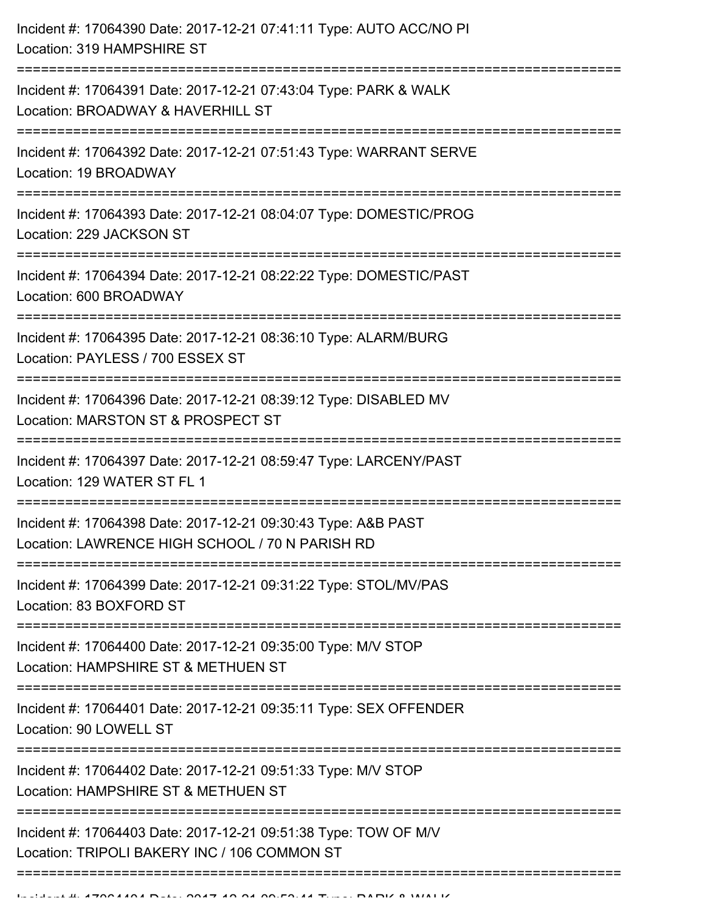| Incident #: 17064390 Date: 2017-12-21 07:41:11 Type: AUTO ACC/NO PI<br>Location: 319 HAMPSHIRE ST                                            |
|----------------------------------------------------------------------------------------------------------------------------------------------|
| Incident #: 17064391 Date: 2017-12-21 07:43:04 Type: PARK & WALK<br>Location: BROADWAY & HAVERHILL ST<br>=================================== |
| Incident #: 17064392 Date: 2017-12-21 07:51:43 Type: WARRANT SERVE<br>Location: 19 BROADWAY                                                  |
| Incident #: 17064393 Date: 2017-12-21 08:04:07 Type: DOMESTIC/PROG<br>Location: 229 JACKSON ST                                               |
| Incident #: 17064394 Date: 2017-12-21 08:22:22 Type: DOMESTIC/PAST<br>Location: 600 BROADWAY                                                 |
| Incident #: 17064395 Date: 2017-12-21 08:36:10 Type: ALARM/BURG<br>Location: PAYLESS / 700 ESSEX ST                                          |
| Incident #: 17064396 Date: 2017-12-21 08:39:12 Type: DISABLED MV<br>Location: MARSTON ST & PROSPECT ST                                       |
| Incident #: 17064397 Date: 2017-12-21 08:59:47 Type: LARCENY/PAST<br>Location: 129 WATER ST FL 1                                             |
| Incident #: 17064398 Date: 2017-12-21 09:30:43 Type: A&B PAST<br>Location: LAWRENCE HIGH SCHOOL / 70 N PARISH RD                             |
| Incident #: 17064399 Date: 2017-12-21 09:31:22 Type: STOL/MV/PAS<br>Location: 83 BOXFORD ST                                                  |
| Incident #: 17064400 Date: 2017-12-21 09:35:00 Type: M/V STOP<br>Location: HAMPSHIRE ST & METHUEN ST                                         |
| Incident #: 17064401 Date: 2017-12-21 09:35:11 Type: SEX OFFENDER<br>Location: 90 LOWELL ST                                                  |
| Incident #: 17064402 Date: 2017-12-21 09:51:33 Type: M/V STOP<br>Location: HAMPSHIRE ST & METHUEN ST                                         |
| Incident #: 17064403 Date: 2017-12-21 09:51:38 Type: TOW OF M/V<br>Location: TRIPOLI BAKERY INC / 106 COMMON ST                              |
|                                                                                                                                              |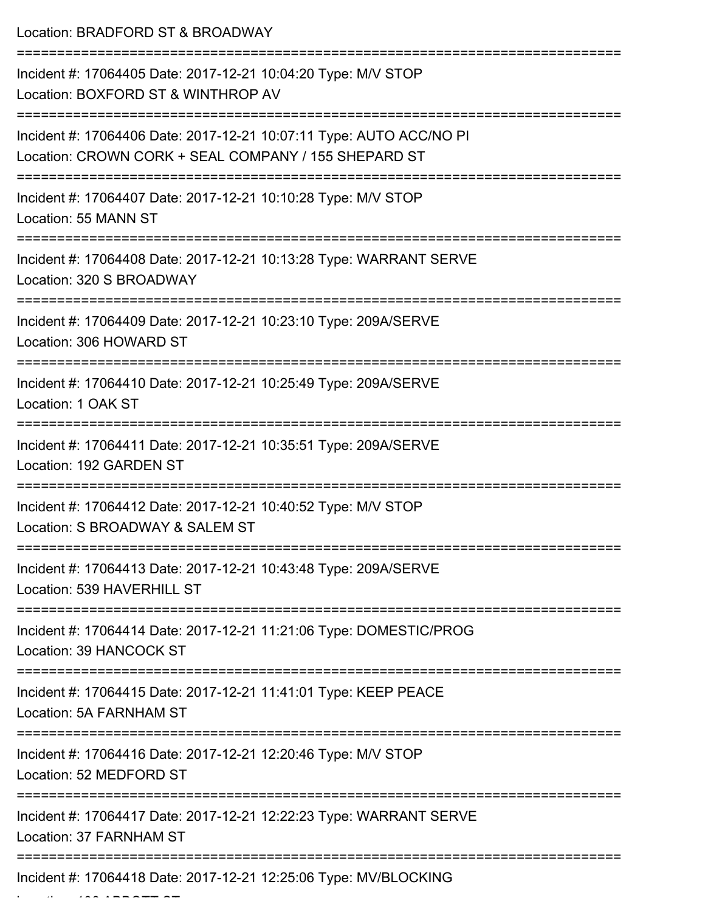| Location: BRADFORD ST & BROADWAY                                                                                                             |
|----------------------------------------------------------------------------------------------------------------------------------------------|
| Incident #: 17064405 Date: 2017-12-21 10:04:20 Type: M/V STOP<br>Location: BOXFORD ST & WINTHROP AV                                          |
| Incident #: 17064406 Date: 2017-12-21 10:07:11 Type: AUTO ACC/NO PI<br>Location: CROWN CORK + SEAL COMPANY / 155 SHEPARD ST<br>------------  |
| Incident #: 17064407 Date: 2017-12-21 10:10:28 Type: M/V STOP<br>Location: 55 MANN ST                                                        |
| Incident #: 17064408 Date: 2017-12-21 10:13:28 Type: WARRANT SERVE<br>Location: 320 S BROADWAY                                               |
| Incident #: 17064409 Date: 2017-12-21 10:23:10 Type: 209A/SERVE<br>Location: 306 HOWARD ST                                                   |
| Incident #: 17064410 Date: 2017-12-21 10:25:49 Type: 209A/SERVE<br>Location: 1 OAK ST                                                        |
| Incident #: 17064411 Date: 2017-12-21 10:35:51 Type: 209A/SERVE<br>Location: 192 GARDEN ST                                                   |
| Incident #: 17064412 Date: 2017-12-21 10:40:52 Type: M/V STOP<br>Location: S BROADWAY & SALEM ST                                             |
| =========================<br>==============<br>Incident #: 17064413 Date: 2017-12-21 10:43:48 Type: 209A/SERVE<br>Location: 539 HAVERHILL ST |
| Incident #: 17064414 Date: 2017-12-21 11:21:06 Type: DOMESTIC/PROG<br>Location: 39 HANCOCK ST                                                |
| Incident #: 17064415 Date: 2017-12-21 11:41:01 Type: KEEP PEACE<br>Location: 5A FARNHAM ST                                                   |
| Incident #: 17064416 Date: 2017-12-21 12:20:46 Type: M/V STOP<br>Location: 52 MEDFORD ST                                                     |
| Incident #: 17064417 Date: 2017-12-21 12:22:23 Type: WARRANT SERVE<br>Location: 37 FARNHAM ST                                                |
| Incident #: 17064418 Date: 2017-12-21 12:25:06 Type: MV/BLOCKING                                                                             |

Location: 106 ABBOTT ST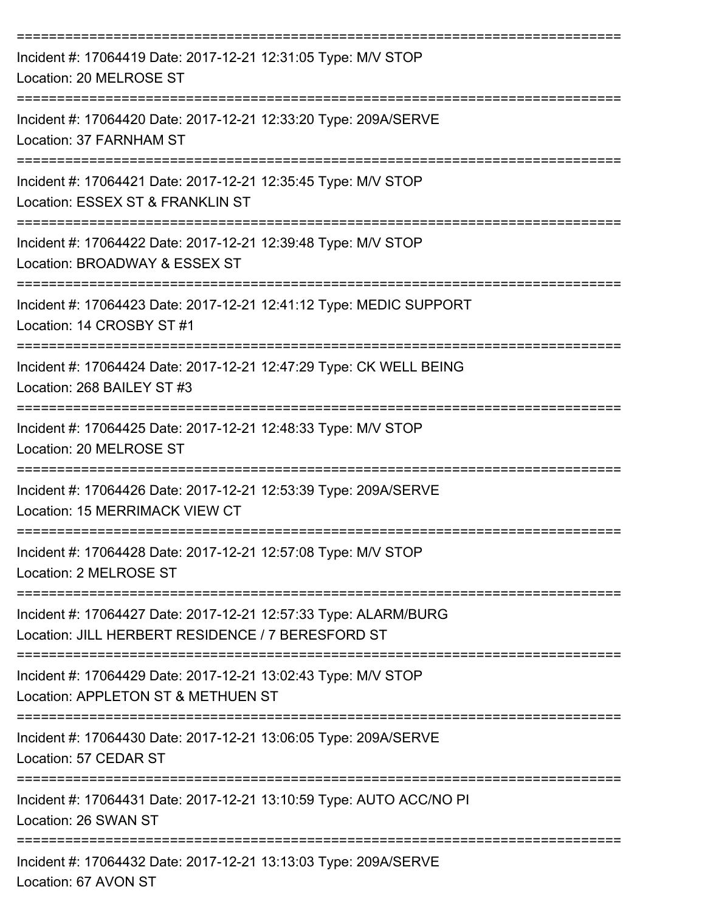| Incident #: 17064419 Date: 2017-12-21 12:31:05 Type: M/V STOP<br>Location: 20 MELROSE ST                                                                      |
|---------------------------------------------------------------------------------------------------------------------------------------------------------------|
| Incident #: 17064420 Date: 2017-12-21 12:33:20 Type: 209A/SERVE<br>Location: 37 FARNHAM ST                                                                    |
| Incident #: 17064421 Date: 2017-12-21 12:35:45 Type: M/V STOP<br>Location: ESSEX ST & FRANKLIN ST                                                             |
| Incident #: 17064422 Date: 2017-12-21 12:39:48 Type: M/V STOP<br>Location: BROADWAY & ESSEX ST                                                                |
| Incident #: 17064423 Date: 2017-12-21 12:41:12 Type: MEDIC SUPPORT<br>Location: 14 CROSBY ST #1                                                               |
| Incident #: 17064424 Date: 2017-12-21 12:47:29 Type: CK WELL BEING<br>Location: 268 BAILEY ST #3                                                              |
| Incident #: 17064425 Date: 2017-12-21 12:48:33 Type: M/V STOP<br>Location: 20 MELROSE ST                                                                      |
| Incident #: 17064426 Date: 2017-12-21 12:53:39 Type: 209A/SERVE<br>Location: 15 MERRIMACK VIEW CT                                                             |
| Incident #: 17064428 Date: 2017-12-21 12:57:08 Type: M/V STOP<br>Location: 2 MELROSE ST                                                                       |
| -------------------------------------<br>Incident #: 17064427 Date: 2017-12-21 12:57:33 Type: ALARM/BURG<br>Location: JILL HERBERT RESIDENCE / 7 BERESFORD ST |
| Incident #: 17064429 Date: 2017-12-21 13:02:43 Type: M/V STOP<br>Location: APPLETON ST & METHUEN ST                                                           |
| Incident #: 17064430 Date: 2017-12-21 13:06:05 Type: 209A/SERVE<br>Location: 57 CEDAR ST                                                                      |
| Incident #: 17064431 Date: 2017-12-21 13:10:59 Type: AUTO ACC/NO PI<br>Location: 26 SWAN ST                                                                   |
| Incident #: 17064432 Date: 2017-12-21 13:13:03 Type: 209A/SERVE<br>Location: 67 AVON ST                                                                       |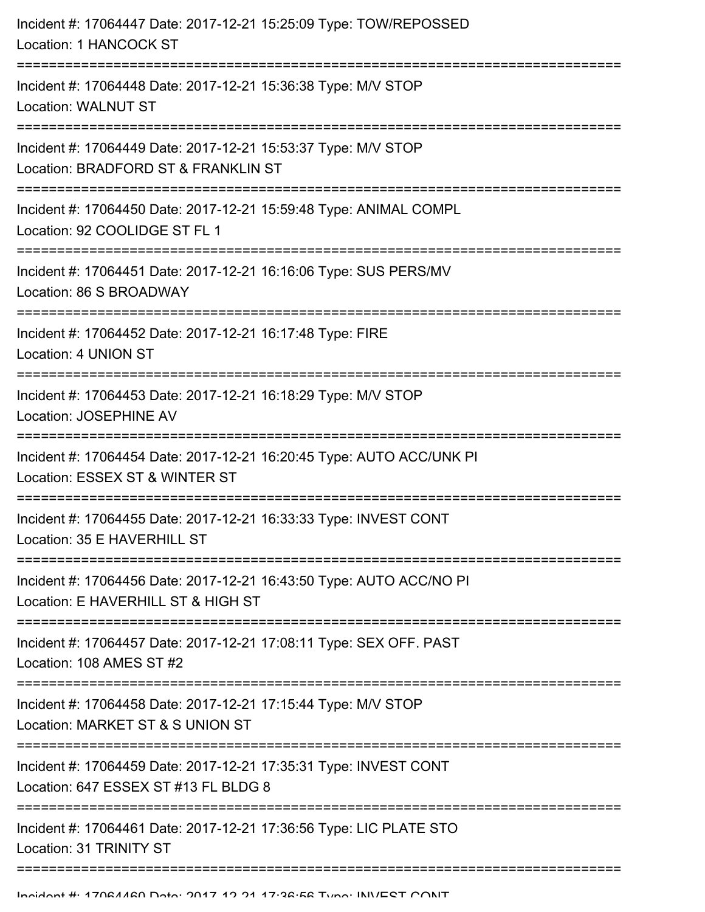| Incident #: 17064447 Date: 2017-12-21 15:25:09 Type: TOW/REPOSSED<br>Location: 1 HANCOCK ST               |
|-----------------------------------------------------------------------------------------------------------|
| Incident #: 17064448 Date: 2017-12-21 15:36:38 Type: M/V STOP<br><b>Location: WALNUT ST</b>               |
| Incident #: 17064449 Date: 2017-12-21 15:53:37 Type: M/V STOP<br>Location: BRADFORD ST & FRANKLIN ST      |
| Incident #: 17064450 Date: 2017-12-21 15:59:48 Type: ANIMAL COMPL<br>Location: 92 COOLIDGE ST FL 1        |
| Incident #: 17064451 Date: 2017-12-21 16:16:06 Type: SUS PERS/MV<br>Location: 86 S BROADWAY               |
| Incident #: 17064452 Date: 2017-12-21 16:17:48 Type: FIRE<br>Location: 4 UNION ST                         |
| Incident #: 17064453 Date: 2017-12-21 16:18:29 Type: M/V STOP<br>Location: JOSEPHINE AV                   |
| Incident #: 17064454 Date: 2017-12-21 16:20:45 Type: AUTO ACC/UNK PI<br>Location: ESSEX ST & WINTER ST    |
| Incident #: 17064455 Date: 2017-12-21 16:33:33 Type: INVEST CONT<br>Location: 35 E HAVERHILL ST           |
| Incident #: 17064456 Date: 2017-12-21 16:43:50 Type: AUTO ACC/NO PI<br>Location: E HAVERHILL ST & HIGH ST |
| Incident #: 17064457 Date: 2017-12-21 17:08:11 Type: SEX OFF. PAST<br>Location: 108 AMES ST #2            |
| Incident #: 17064458 Date: 2017-12-21 17:15:44 Type: M/V STOP<br>Location: MARKET ST & S UNION ST         |
| Incident #: 17064459 Date: 2017-12-21 17:35:31 Type: INVEST CONT<br>Location: 647 ESSEX ST #13 FL BLDG 8  |
| Incident #: 17064461 Date: 2017-12-21 17:36:56 Type: LIC PLATE STO<br>Location: 31 TRINITY ST             |
|                                                                                                           |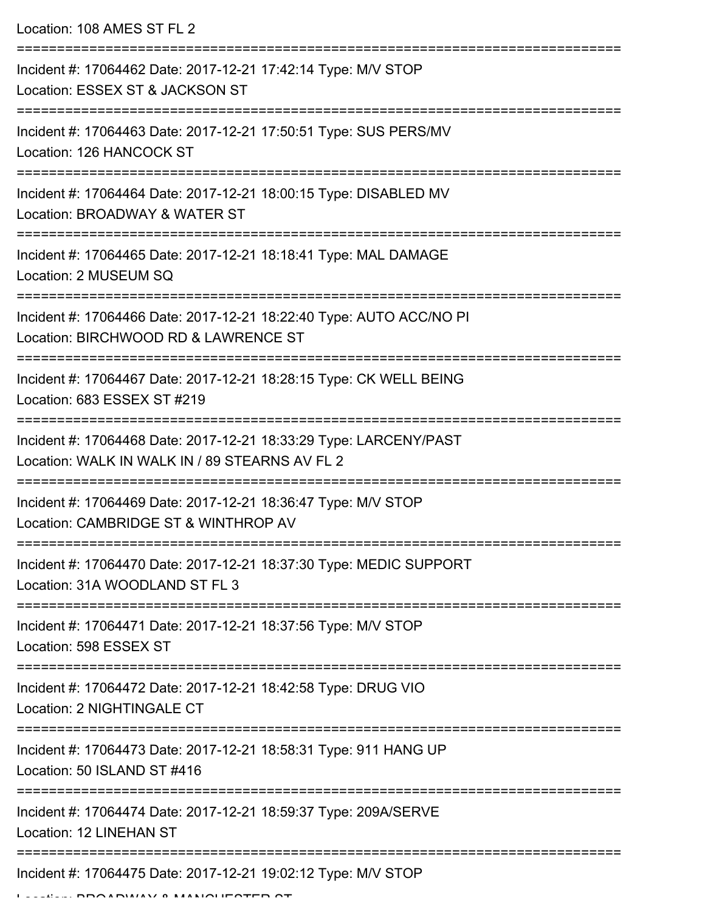Location: 108 AMES ST FL 2

| Incident #: 17064462 Date: 2017-12-21 17:42:14 Type: M/V STOP<br>Location: ESSEX ST & JACKSON ST                    |
|---------------------------------------------------------------------------------------------------------------------|
| Incident #: 17064463 Date: 2017-12-21 17:50:51 Type: SUS PERS/MV<br>Location: 126 HANCOCK ST                        |
| Incident #: 17064464 Date: 2017-12-21 18:00:15 Type: DISABLED MV<br>Location: BROADWAY & WATER ST                   |
| Incident #: 17064465 Date: 2017-12-21 18:18:41 Type: MAL DAMAGE<br>Location: 2 MUSEUM SQ                            |
| Incident #: 17064466 Date: 2017-12-21 18:22:40 Type: AUTO ACC/NO PI<br>Location: BIRCHWOOD RD & LAWRENCE ST         |
| Incident #: 17064467 Date: 2017-12-21 18:28:15 Type: CK WELL BEING<br>Location: 683 ESSEX ST #219                   |
| Incident #: 17064468 Date: 2017-12-21 18:33:29 Type: LARCENY/PAST<br>Location: WALK IN WALK IN / 89 STEARNS AV FL 2 |
| Incident #: 17064469 Date: 2017-12-21 18:36:47 Type: M/V STOP<br>Location: CAMBRIDGE ST & WINTHROP AV               |
| Incident #: 17064470 Date: 2017-12-21 18:37:30 Type: MEDIC SUPPORT<br>Location: 31A WOODLAND ST FL 3                |
| Incident #: 17064471 Date: 2017-12-21 18:37:56 Type: M/V STOP<br>Location: 598 ESSEX ST                             |
| Incident #: 17064472 Date: 2017-12-21 18:42:58 Type: DRUG VIO<br>Location: 2 NIGHTINGALE CT                         |
| Incident #: 17064473 Date: 2017-12-21 18:58:31 Type: 911 HANG UP<br>Location: 50 ISLAND ST #416                     |
| Incident #: 17064474 Date: 2017-12-21 18:59:37 Type: 209A/SERVE<br>Location: 12 LINEHAN ST                          |
| Incident #: 17064475 Date: 2017-12-21 19:02:12 Type: M/V STOP                                                       |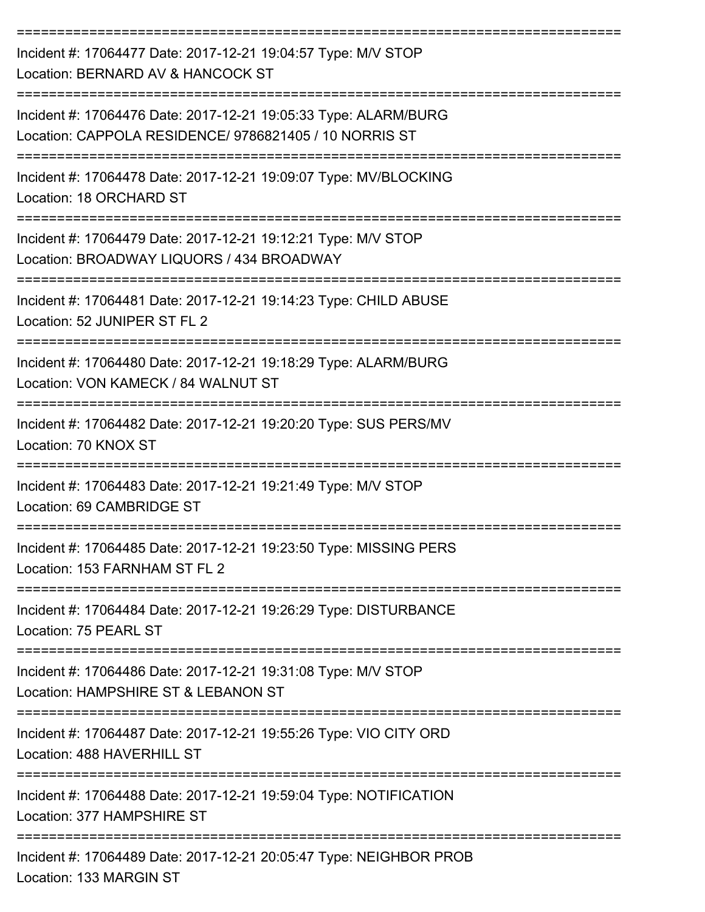| Incident #: 17064477 Date: 2017-12-21 19:04:57 Type: M/V STOP<br>Location: BERNARD AV & HANCOCK ST                        |
|---------------------------------------------------------------------------------------------------------------------------|
| Incident #: 17064476 Date: 2017-12-21 19:05:33 Type: ALARM/BURG<br>Location: CAPPOLA RESIDENCE/ 9786821405 / 10 NORRIS ST |
| Incident #: 17064478 Date: 2017-12-21 19:09:07 Type: MV/BLOCKING<br>Location: 18 ORCHARD ST<br>=========================  |
| Incident #: 17064479 Date: 2017-12-21 19:12:21 Type: M/V STOP<br>Location: BROADWAY LIQUORS / 434 BROADWAY                |
| Incident #: 17064481 Date: 2017-12-21 19:14:23 Type: CHILD ABUSE<br>Location: 52 JUNIPER ST FL 2                          |
| Incident #: 17064480 Date: 2017-12-21 19:18:29 Type: ALARM/BURG<br>Location: VON KAMECK / 84 WALNUT ST                    |
| Incident #: 17064482 Date: 2017-12-21 19:20:20 Type: SUS PERS/MV<br>Location: 70 KNOX ST                                  |
| Incident #: 17064483 Date: 2017-12-21 19:21:49 Type: M/V STOP<br>Location: 69 CAMBRIDGE ST                                |
| Incident #: 17064485 Date: 2017-12-21 19:23:50 Type: MISSING PERS<br>Location: 153 FARNHAM ST FL 2                        |
| ---------------------------<br>Incident #: 17064484 Date: 2017-12-21 19:26:29 Type: DISTURBANCE<br>Location: 75 PEARL ST  |
| Incident #: 17064486 Date: 2017-12-21 19:31:08 Type: M/V STOP<br>Location: HAMPSHIRE ST & LEBANON ST                      |
| Incident #: 17064487 Date: 2017-12-21 19:55:26 Type: VIO CITY ORD<br>Location: 488 HAVERHILL ST                           |
| Incident #: 17064488 Date: 2017-12-21 19:59:04 Type: NOTIFICATION<br>Location: 377 HAMPSHIRE ST                           |
| Incident #: 17064489 Date: 2017-12-21 20:05:47 Type: NEIGHBOR PROB<br>Location: 133 MARGIN ST                             |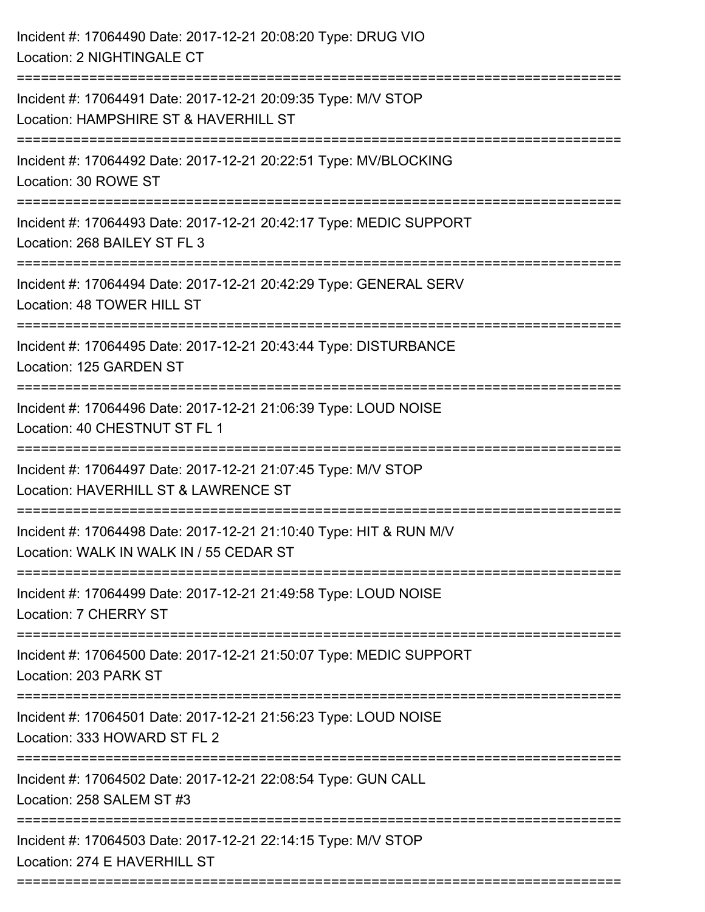| Incident #: 17064490 Date: 2017-12-21 20:08:20 Type: DRUG VIO<br>Location: 2 NIGHTINGALE CT                            |
|------------------------------------------------------------------------------------------------------------------------|
| Incident #: 17064491 Date: 2017-12-21 20:09:35 Type: M/V STOP<br>Location: HAMPSHIRE ST & HAVERHILL ST                 |
| Incident #: 17064492 Date: 2017-12-21 20:22:51 Type: MV/BLOCKING<br>Location: 30 ROWE ST                               |
| Incident #: 17064493 Date: 2017-12-21 20:42:17 Type: MEDIC SUPPORT<br>Location: 268 BAILEY ST FL 3                     |
| Incident #: 17064494 Date: 2017-12-21 20:42:29 Type: GENERAL SERV<br>Location: 48 TOWER HILL ST                        |
| Incident #: 17064495 Date: 2017-12-21 20:43:44 Type: DISTURBANCE<br>Location: 125 GARDEN ST                            |
| Incident #: 17064496 Date: 2017-12-21 21:06:39 Type: LOUD NOISE<br>Location: 40 CHESTNUT ST FL 1<br>------------------ |
| Incident #: 17064497 Date: 2017-12-21 21:07:45 Type: M/V STOP<br>Location: HAVERHILL ST & LAWRENCE ST                  |
| Incident #: 17064498 Date: 2017-12-21 21:10:40 Type: HIT & RUN M/V<br>Location: WALK IN WALK IN / 55 CEDAR ST          |
| Incident #: 17064499 Date: 2017-12-21 21:49:58 Type: LOUD NOISE<br>Location: 7 CHERRY ST                               |
| Incident #: 17064500 Date: 2017-12-21 21:50:07 Type: MEDIC SUPPORT<br>Location: 203 PARK ST                            |
| Incident #: 17064501 Date: 2017-12-21 21:56:23 Type: LOUD NOISE<br>Location: 333 HOWARD ST FL 2                        |
| Incident #: 17064502 Date: 2017-12-21 22:08:54 Type: GUN CALL<br>Location: 258 SALEM ST #3                             |
| Incident #: 17064503 Date: 2017-12-21 22:14:15 Type: M/V STOP<br>Location: 274 E HAVERHILL ST                          |
|                                                                                                                        |